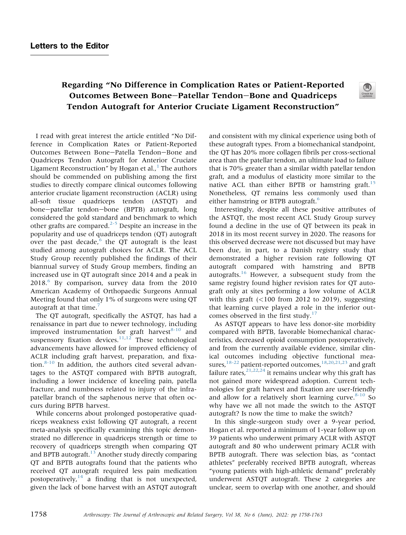## Regarding "No Difference in Complication Rates or Patient-Reported Outcomes Between Bone-Patellar Tendon-Bone and Quadriceps Tendon Autograft for Anterior Cruciate Ligament Reconstruction"

I read with great interest the article entitled "No Difference in Complication Rates or Patient-Reported Outcomes Between Bone-Patella Tendon-Bone and Quadriceps Tendon Autograft for Anterior Cruciate Ligament Reconstruction" by Hogan et al., $^1$  $^1$  The authors should be commended on publishing among the first studies to directly compare clinical outcomes following anterior cruciate ligament reconstruction (ACLR) using all-soft tissue quadriceps tendon (ASTQT) and bone-patellar tendon-bone (BPTB) autograft, long considered the gold standard and benchmark to which other grafts are compared.<sup>2-5</sup> Despite an increase in the popularity and use of quadriceps tendon (QT) autograft over the past decade, $6$  the QT autograft is the least studied among autograft choices for ACLR. The ACL Study Group recently published the findings of their biannual survey of Study Group members, finding an increased use in QT autograft since 2014 and a peak in  $2018<sup>6</sup>$  By comparison, survey data from the 2010 American Academy of Orthopaedic Surgeons Annual Meeting found that only 1% of surgeons were using QT autograft at that time.<sup>7</sup>

The QT autograft, specifically the ASTQT, has had a renaissance in part due to newer technology, including improved instrumentation for graft harvest<sup>8-10</sup> and suspensory fixation devices. $11,12$  These technological advancements have allowed for improved efficiency of ACLR including graft harvest, preparation, and fixation. $8-10$  In addition, the authors cited several advantages to the ASTQT compared with BPTB autograft, including a lower incidence of kneeling pain, patella fracture, and numbness related to injury of the infrapatellar branch of the saphenous nerve that often occurs during BPTB harvest.

While concerns about prolonged postoperative quadriceps weakness exist following QT autograft, a recent meta-analysis specifically examining this topic demonstrated no difference in quadriceps strength or time to recovery of quadriceps strength when comparing QT and BPTB autograft. $13$  Another study directly comparing QT and BPTB autografts found that the patients who received QT autograft required less pain medication postoperatively, $14$  a finding that is not unexpected, given the lack of bone harvest with an ASTQT autograft and consistent with my clinical experience using both of these autograft types. From a biomechanical standpoint, the QT has 20% more collagen fibrils per cross-sectional area than the patellar tendon, an ultimate load to failure that is 70% greater than a similar width patellar tendon graft, and a modulus of elasticity more similar to the native ACL than either BPTB or hamstring graft.<sup>15</sup> Nonetheless, QT remains less commonly used than either hamstring or BTPB autograft.<sup>6</sup>

Interestingly, despite all these positive attributes of the ASTQT, the most recent ACL Study Group survey found a decline in the use of QT between its peak in 2018 in its most recent survey in 2020. The reasons for this observed decrease were not discussed but may have been due, in part, to a Danish registry study that demonstrated a higher revision rate following QT autograft compared with hamstring and BPTB autografts.<sup>16</sup> However, a subsequent study from the same registry found higher revision rates for QT autograft only at sites performing a low volume of ACLR with this graft  $(<100$  from 2012 to 2019), suggesting that learning curve played a role in the inferior outcomes observed in the first study.<sup>17</sup>

As ASTQT appears to have less donor-site morbidity compared with BPTB, favorable biomechanical characteristics, decreased opioid consumption postoperatively, and from the currently available evidence, similar clinical outcomes including objective functional measures,<sup>18-22</sup> patient-reported outcomes,<sup>18,20,21,23</sup> and graft failure rates,  $2^{1,22,24}$  it remains unclear why this graft has not gained more widespread adoption. Current technologies for graft harvest and fixation are user-friendly and allow for a relatively short learning curve. $8-10$  So why have we all not made the switch to the ASTQT autograft? Is now the time to make the switch?

In this single-surgeon study over a 9-year period, Hogan et al. reported a minimum of 1-year follow up on 39 patients who underwent primary ACLR with ASTQT autograft and 80 who underwent primary ACLR with BPTB autograft. There was selection bias, as "contact athletes" preferably received BPTB autograft, whereas "young patients with high-athletic demand" preferably underwent ASTQT autograft. These 2 categories are unclear, seem to overlap with one another, and should

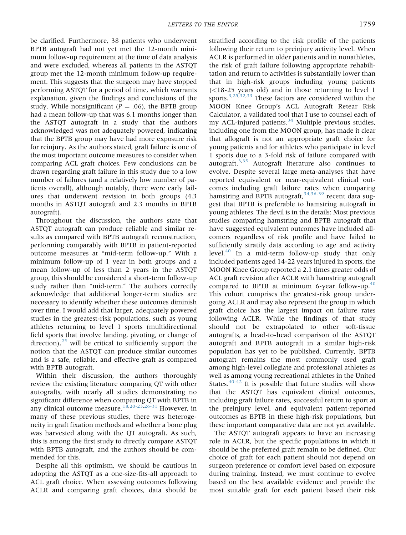be clarified. Furthermore, 38 patients who underwent BPTB autograft had not yet met the 12-month minimum follow-up requirement at the time of data analysis and were excluded, whereas all patients in the ASTQT group met the 12-month minimum follow-up requirement. This suggests that the surgeon may have stopped performing ASTQT for a period of time, which warrants explanation, given the findings and conclusions of the study. While nonsignificant ( $P = .06$ ), the BPTB group had a mean follow-up that was 6.1 months longer than the ASTQT autograft in a study that the authors acknowledged was not adequately powered, indicating that the BPTB group may have had more exposure risk for reinjury. As the authors stated, graft failure is one of the most important outcome measures to consider when comparing ACL graft choices. Few conclusions can be drawn regarding graft failure in this study due to a low number of failures (and a relatively low number of patients overall), although notably, there were early failures that underwent revision in both groups (4.3 months in ASTQT autograft and 2.3 months in BPTB autograft).

Throughout the discussion, the authors state that ASTQT autograft can produce reliable and similar results as compared with BPTB autograft reconstruction, performing comparably with BPTB in patient-reported outcome measures at "mid-term follow-up." With a minimum follow-up of 1 year in both groups and a mean follow-up of less than 2 years in the ASTQT group, this should be considered a short-term follow-up study rather than "mid-term." The authors correctly acknowledge that additional longer-term studies are necessary to identify whether these outcomes diminish over time. I would add that larger, adequately powered studies in the greatest-risk populations, such as young athletes returning to level 1 sports (multidirectional field sports that involve landing, pivoting, or change of direction), $^{25}$  will be critical to sufficiently support the notion that the ASTQT can produce similar outcomes and is a safe, reliable, and effective graft as compared with BPTB autograft.

Within their discussion, the authors thoroughly review the existing literature comparing QT with other autografts, with nearly all studies demonstrating no significant difference when comparing QT with BPTB in any clinical outcome measure.<sup>18,20-23,26-31</sup> However, in many of these previous studies, there was heterogeneity in graft fixation methods and whether a bone plug was harvested along with the QT autograft. As such, this is among the first study to directly compare ASTQT with BPTB autograft, and the authors should be commended for this.

Despite all this optimism, we should be cautious in adopting the ASTQT as a one-size-fits-all approach to ACL graft choice. When assessing outcomes following ACLR and comparing graft choices, data should be

stratified according to the risk profile of the patients following their return to preinjury activity level. When ACLR is performed in older patients and in nonathletes, the risk of graft failure following appropriate rehabilitation and return to activities is substantially lower than that in high-risk groups including young patients (<18-25 years old) and in those returning to level 1 sports.<sup>3,25,32,33</sup> These factors are considered within the MOON Knee Group's ACL Autograft Retear Risk Calculator, a validated tool that I use to counsel each of my ACL-injured patients. $34$  Multiple previous studies, including one from the MOON group, has made it clear that allograft is not an appropriate graft choice for young patients and for athletes who participate in level 1 sports due to a 3-fold risk of failure compared with autograft. $3,35$  Autograft literature also continues to evolve. Despite several large meta-analyses that have reported equivalent or near-equivalent clinical outcomes including graft failure rates when comparing hamstring and BPTB autograft,<sup>34,36-39</sup> recent data suggest that BPTB is preferable to hamstring autograft in young athletes. The devil is in the details: Most previous studies comparing hamstring and BPTB autograft that have suggested equivalent outcomes have included allcomers regardless of risk profile and have failed to sufficiently stratify data according to age and activity level.<sup>40</sup> In a mid-term follow-up study that only included patients aged 14-22 years injured in sports, the MOON Knee Group reported a 2.1 times greater odds of ACL graft revision after ACLR with hamstring autograft compared to BPTB at minimum 6-year follow-up. $40$ This cohort comprises the greatest-risk group undergoing ACLR and may also represent the group in which graft choice has the largest impact on failure rates following ACLR. While the findings of that study should not be extrapolated to other soft-tissue autografts, a head-to-head comparison of the ASTQT autograft and BPTB autograft in a similar high-risk population has yet to be published. Currently, BPTB autograft remains the most commonly used graft among high-level collegiate and professional athletes as well as among young recreational athletes in the United States. $40-42$  It is possible that future studies will show that the ASTQT has equivalent clinical outcomes, including graft failure rates, successful return to sport at the preinjury level, and equivalent patient-reported outcomes as BPTB in these high-risk populations, but these important comparative data are not yet available.

The ASTQT autograft appears to have an increasing role in ACLR, but the specific populations in which it should be the preferred graft remain to be defined. Our choice of graft for each patient should not depend on surgeon preference or comfort level based on exposure during training. Instead, we must continue to evolve based on the best available evidence and provide the most suitable graft for each patient based their risk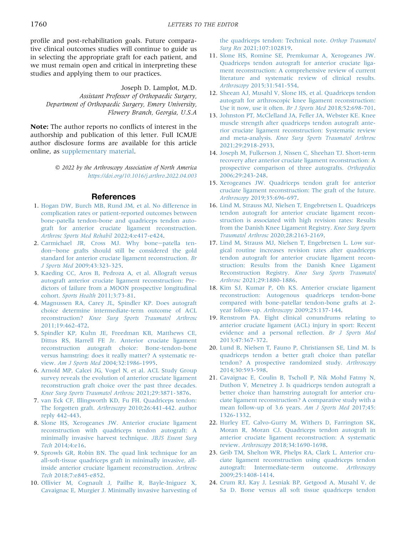profile and post-rehabilitation goals. Future comparative clinical outcomes studies will continue to guide us in selecting the appropriate graft for each patient, and we must remain open and critical in interpreting these studies and applying them to our practices.

Joseph D. Lamplot, M.D. Assistant Professor of Orthopaedic Surgery, Department of Orthopaedic Surgery, Emory University, Flowery Branch, Georgia, U.S.A

Note: The author reports no conflicts of interest in the authorship and publication of this letter. Full ICMJE author disclosure forms are available for this article online, as supplementary material.

> 2022 by the Arthroscopy Association of North America <https://doi.org/10.1016/j.arthro.2022.04.003>

## References

- <span id="page-2-0"></span>1. [Hogan DW, Burch MB, Rund JM, et al. No difference in](http://refhub.elsevier.com/S0749-8063(22)00232-8/sref44) [complication rates or patient-reported outcomes between](http://refhub.elsevier.com/S0749-8063(22)00232-8/sref44) [bone-patella tendon-bone and quadriceps tendon auto](http://refhub.elsevier.com/S0749-8063(22)00232-8/sref44)[graft for anterior cruciate ligament reconstruction.](http://refhub.elsevier.com/S0749-8063(22)00232-8/sref44) [Arthrosc Sports Med Rehabil](http://refhub.elsevier.com/S0749-8063(22)00232-8/sref44) 2022;4:e417-e424.
- 2. [Carmichael JR, Cross MJ. Why bone](http://refhub.elsevier.com/S0749-8063(22)00232-8/sref1)-[patella ten](http://refhub.elsevier.com/S0749-8063(22)00232-8/sref1)[don](http://refhub.elsevier.com/S0749-8063(22)00232-8/sref1)-[bone grafts should still be considered the gold](http://refhub.elsevier.com/S0749-8063(22)00232-8/sref1) [standard for anterior cruciate ligament reconstruction.](http://refhub.elsevier.com/S0749-8063(22)00232-8/sref1) Br J Sports Med [2009;43:323-325.](http://refhub.elsevier.com/S0749-8063(22)00232-8/sref1)
- 3. [Kaeding CC, Aros B, Pedroza A, et al. Allograft versus](http://refhub.elsevier.com/S0749-8063(22)00232-8/sref2) [autograft anterior cruciate ligament reconstruction: Pre](http://refhub.elsevier.com/S0749-8063(22)00232-8/sref2)[dictors of failure from a MOON prospective longitudinal](http://refhub.elsevier.com/S0749-8063(22)00232-8/sref2) cohort. Sports Health [2011;3:73-81.](http://refhub.elsevier.com/S0749-8063(22)00232-8/sref2)
- 4. [Magnussen RA, Carey JL, Spindler KP. Does autograft](http://refhub.elsevier.com/S0749-8063(22)00232-8/sref3) [choice determine intermediate-term outcome of ACL](http://refhub.elsevier.com/S0749-8063(22)00232-8/sref3) reconstruction? [Knee Surg Sports Traumatol Arthrosc](http://refhub.elsevier.com/S0749-8063(22)00232-8/sref3) [2011;19:462-472.](http://refhub.elsevier.com/S0749-8063(22)00232-8/sref3)
- 5. [Spindler KP, Kuhn JE, Freedman KB, Matthews CE,](http://refhub.elsevier.com/S0749-8063(22)00232-8/sref4) [Dittus RS, Harrell FE Jr. Anterior cruciate ligament](http://refhub.elsevier.com/S0749-8063(22)00232-8/sref4) [reconstruction autograft choice: Bone-tendon-bone](http://refhub.elsevier.com/S0749-8063(22)00232-8/sref4) [versus hamstring: does it really matter? A systematic re](http://refhub.elsevier.com/S0749-8063(22)00232-8/sref4)view. Am J Sports Med [2004;32:1986-1995.](http://refhub.elsevier.com/S0749-8063(22)00232-8/sref4)
- 6. [Arnold MP, Calcei JG, Vogel N, et al. ACL Study Group](http://refhub.elsevier.com/S0749-8063(22)00232-8/sref5) [survey reveals the evolution of anterior cruciate ligament](http://refhub.elsevier.com/S0749-8063(22)00232-8/sref5) [reconstruction graft choice over the past three decades.](http://refhub.elsevier.com/S0749-8063(22)00232-8/sref5) [Knee Surg Sports Traumatol Arthrosc](http://refhub.elsevier.com/S0749-8063(22)00232-8/sref5) 2021;29:3871-3876.
- 7. [van Eck CF, Illingworth KD, Fu FH. Quadriceps tendon:](http://refhub.elsevier.com/S0749-8063(22)00232-8/sref6) The forgotten graft. Arthroscopy [2010;26:441-442. author](http://refhub.elsevier.com/S0749-8063(22)00232-8/sref6) [reply 442-443](http://refhub.elsevier.com/S0749-8063(22)00232-8/sref6).
- 8. [Slone HS, Xerogeanes JW. Anterior cruciate ligament](http://refhub.elsevier.com/S0749-8063(22)00232-8/sref7) [reconstruction with quadriceps tendon autograft: A](http://refhub.elsevier.com/S0749-8063(22)00232-8/sref7) [minimally invasive harvest technique.](http://refhub.elsevier.com/S0749-8063(22)00232-8/sref7) JBJS Essent Surg Tech [2014;4:e16](http://refhub.elsevier.com/S0749-8063(22)00232-8/sref7).
- 9. [Sprowls GR, Robin BN. The quad link technique for an](http://refhub.elsevier.com/S0749-8063(22)00232-8/sref8) [all-soft-tissue quadriceps graft in minimally invasive, all](http://refhub.elsevier.com/S0749-8063(22)00232-8/sref8)[inside anterior cruciate ligament reconstruction.](http://refhub.elsevier.com/S0749-8063(22)00232-8/sref8) Arthrosc Tech [2018;7:e845-e852](http://refhub.elsevier.com/S0749-8063(22)00232-8/sref8).
- 10. [Ollivier M, Cognault J, Pailhe R, Bayle-Iniguez X,](http://refhub.elsevier.com/S0749-8063(22)00232-8/sref9) [Cavaignac E, Murgier J. Minimally invasive harvesting of](http://refhub.elsevier.com/S0749-8063(22)00232-8/sref9)

[the quadriceps tendon: Technical note.](http://refhub.elsevier.com/S0749-8063(22)00232-8/sref9) Orthop Traumatol Surg Res [2021;107:102819](http://refhub.elsevier.com/S0749-8063(22)00232-8/sref9).

- 11. [Slone HS, Romine SE, Premkumar A, Xerogeanes JW.](http://refhub.elsevier.com/S0749-8063(22)00232-8/sref10) [Quadriceps tendon autograft for anterior cruciate liga](http://refhub.elsevier.com/S0749-8063(22)00232-8/sref10)[ment reconstruction: A comprehensive review of current](http://refhub.elsevier.com/S0749-8063(22)00232-8/sref10) [literature and systematic review of clinical results.](http://refhub.elsevier.com/S0749-8063(22)00232-8/sref10) Arthroscopy [2015;31:541-554.](http://refhub.elsevier.com/S0749-8063(22)00232-8/sref10)
- 12. [Sheean AJ, Musahl V, Slone HS, et al. Quadriceps tendon](http://refhub.elsevier.com/S0749-8063(22)00232-8/sref11) [autograft for arthroscopic knee ligament reconstruction:](http://refhub.elsevier.com/S0749-8063(22)00232-8/sref11) [Use it now, use it often.](http://refhub.elsevier.com/S0749-8063(22)00232-8/sref11) Br J Sports Med 2018;52:698-701.
- 13. [Johnston PT, McClelland JA, Feller JA, Webster KE. Knee](http://refhub.elsevier.com/S0749-8063(22)00232-8/sref12) [muscle strength after quadriceps tendon autograft ante](http://refhub.elsevier.com/S0749-8063(22)00232-8/sref12)[rior cruciate ligament reconstruction: Systematic review](http://refhub.elsevier.com/S0749-8063(22)00232-8/sref12) and meta-analysis. [Knee Surg Sports Traumatol Arthrosc](http://refhub.elsevier.com/S0749-8063(22)00232-8/sref12) [2021;29:2918-2933](http://refhub.elsevier.com/S0749-8063(22)00232-8/sref12).
- 14. [Joseph M, Fulkerson J, Nissen C, Sheehan TJ. Short-term](http://refhub.elsevier.com/S0749-8063(22)00232-8/sref13) [recovery after anterior cruciate ligament reconstruction: A](http://refhub.elsevier.com/S0749-8063(22)00232-8/sref13) [prospective comparison of three autografts.](http://refhub.elsevier.com/S0749-8063(22)00232-8/sref13) Orthopedics [2006;29:243-248](http://refhub.elsevier.com/S0749-8063(22)00232-8/sref13).
- 15. [Xerogeanes JW. Quadriceps tendon graft for anterior](http://refhub.elsevier.com/S0749-8063(22)00232-8/sref14) [cruciate ligament reconstruction: The graft of the future.](http://refhub.elsevier.com/S0749-8063(22)00232-8/sref14) Arthroscopy [2019;35:696-697.](http://refhub.elsevier.com/S0749-8063(22)00232-8/sref14)
- 16. [Lind M, Strauss MJ, Nielsen T, Engebretsen L. Quadriceps](http://refhub.elsevier.com/S0749-8063(22)00232-8/sref15) [tendon autograft for anterior cruciate ligament recon](http://refhub.elsevier.com/S0749-8063(22)00232-8/sref15)[struction is associated with high revision rates: Results](http://refhub.elsevier.com/S0749-8063(22)00232-8/sref15) [from the Danish Knee Ligament Registry.](http://refhub.elsevier.com/S0749-8063(22)00232-8/sref15) Knee Surg Sports Traumatol Arthrosc [2020;28:2163-2169](http://refhub.elsevier.com/S0749-8063(22)00232-8/sref15).
- 17. [Lind M, Strauss MJ, Nielsen T, Engebretsen L. Low sur](http://refhub.elsevier.com/S0749-8063(22)00232-8/sref16)[gical routine increases revision rates after quadriceps](http://refhub.elsevier.com/S0749-8063(22)00232-8/sref16) [tendon autograft for anterior cruciate ligament recon](http://refhub.elsevier.com/S0749-8063(22)00232-8/sref16)[struction: Results from the Danish Knee Ligament](http://refhub.elsevier.com/S0749-8063(22)00232-8/sref16) Reconstruction Registry. [Knee Surg Sports Traumatol](http://refhub.elsevier.com/S0749-8063(22)00232-8/sref16) Arthrosc [2021;29:1880-1886](http://refhub.elsevier.com/S0749-8063(22)00232-8/sref16).
- 18. [Kim SJ, Kumar P, Oh KS. Anterior cruciate ligament](http://refhub.elsevier.com/S0749-8063(22)00232-8/sref17) [reconstruction: Autogenous quadriceps tendon-bone](http://refhub.elsevier.com/S0749-8063(22)00232-8/sref17) [compared with bone-patellar tendon-bone grafts at 2](http://refhub.elsevier.com/S0749-8063(22)00232-8/sref17) year follow-up. Arthroscopy [2009;25:137-144.](http://refhub.elsevier.com/S0749-8063(22)00232-8/sref17)
- 19. [Renstrom PA. Eight clinical conundrums relating to](http://refhub.elsevier.com/S0749-8063(22)00232-8/sref18) [anterior cruciate ligament \(ACL\) injury in sport: Recent](http://refhub.elsevier.com/S0749-8063(22)00232-8/sref18) [evidence and a personal re](http://refhub.elsevier.com/S0749-8063(22)00232-8/sref18)flection. Br J Sports Med [2013;47:367-372](http://refhub.elsevier.com/S0749-8063(22)00232-8/sref18).
- 20. [Lund B, Nielsen T, Fauno P, Christiansen SE, Lind M. Is](http://refhub.elsevier.com/S0749-8063(22)00232-8/sref19) [quadriceps tendon a better graft choice than patellar](http://refhub.elsevier.com/S0749-8063(22)00232-8/sref19) [tendon? A prospective randomized study.](http://refhub.elsevier.com/S0749-8063(22)00232-8/sref19) Arthroscopy [2014;30:593-598](http://refhub.elsevier.com/S0749-8063(22)00232-8/sref19).
- 21. [Cavaignac E, Coulin B, Tscholl P, Nik Mohd Fatmy N,](http://refhub.elsevier.com/S0749-8063(22)00232-8/sref20) [Duthon V, Menetrey J. Is quadriceps tendon autograft a](http://refhub.elsevier.com/S0749-8063(22)00232-8/sref20) [better choice than hamstring autograft for anterior cru](http://refhub.elsevier.com/S0749-8063(22)00232-8/sref20)[ciate ligament reconstruction? A comparative study with a](http://refhub.elsevier.com/S0749-8063(22)00232-8/sref20) [mean follow-up of 3.6 years.](http://refhub.elsevier.com/S0749-8063(22)00232-8/sref20) Am J Sports Med 2017;45: [1326-1332.](http://refhub.elsevier.com/S0749-8063(22)00232-8/sref20)
- 22. [Hurley ET, Calvo-Gurry M, Withers D, Farrington SK,](http://refhub.elsevier.com/S0749-8063(22)00232-8/sref21) [Moran R, Moran CJ. Quadriceps tendon autograft in](http://refhub.elsevier.com/S0749-8063(22)00232-8/sref21) [anterior cruciate ligament reconstruction: A systematic](http://refhub.elsevier.com/S0749-8063(22)00232-8/sref21) review. Arthroscopy [2018;34:1690-1698.](http://refhub.elsevier.com/S0749-8063(22)00232-8/sref21)
- 23. [Geib TM, Shelton WR, Phelps RA, Clark L. Anterior cru](http://refhub.elsevier.com/S0749-8063(22)00232-8/sref22)[ciate ligament reconstruction using quadriceps tendon](http://refhub.elsevier.com/S0749-8063(22)00232-8/sref22) [autograft: Intermediate-term outcome.](http://refhub.elsevier.com/S0749-8063(22)00232-8/sref22) Arthroscopy [2009;25:1408-1414](http://refhub.elsevier.com/S0749-8063(22)00232-8/sref22).
- 24. [Crum RJ, Kay J, Lesniak BP, Getgood A, Musahl V, de](http://refhub.elsevier.com/S0749-8063(22)00232-8/sref23) [Sa D. Bone versus all soft tissue quadriceps tendon](http://refhub.elsevier.com/S0749-8063(22)00232-8/sref23)